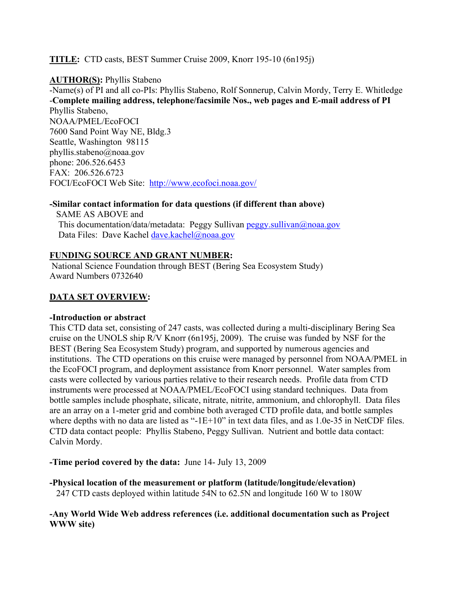#### **TITLE:** CTD casts, BEST Summer Cruise 2009, Knorr 195-10 (6n195j)

#### **AUTHOR(S):** Phyllis Stabeno

-Name(s) of PI and all co-PIs: Phyllis Stabeno, Rolf Sonnerup, Calvin Mordy, Terry E. Whitledge -**Complete mailing address, telephone/facsimile Nos., web pages and E-mail address of PI**

Phyllis Stabeno, NOAA/PMEL/EcoFOCI 7600 Sand Point Way NE, Bldg.3 Seattle, Washington 98115 phyllis.stabeno@noaa.gov phone: 206.526.6453 FAX: 206.526.6723 FOCI/EcoFOCI Web Site: http://www.ecofoci.noaa.gov/

#### **-Similar contact information for data questions (if different than above)**

 SAME AS ABOVE and This documentation/data/metadata: Peggy Sullivan peggy.sullivan@noaa.gov Data Files: Dave Kachel dave.kachel@noaa.gov

#### **FUNDING SOURCE AND GRANT NUMBER:**

National Science Foundation through BEST (Bering Sea Ecosystem Study) Award Numbers 0732640

#### **DATA SET OVERVIEW:**

#### **-Introduction or abstract**

This CTD data set, consisting of 247 casts, was collected during a multi-disciplinary Bering Sea cruise on the UNOLS ship R/V Knorr (6n195j, 2009). The cruise was funded by NSF for the BEST (Bering Sea Ecosystem Study) program, and supported by numerous agencies and institutions. The CTD operations on this cruise were managed by personnel from NOAA/PMEL in the EcoFOCI program, and deployment assistance from Knorr personnel. Water samples from casts were collected by various parties relative to their research needs. Profile data from CTD instruments were processed at NOAA/PMEL/EcoFOCI using standard techniques. Data from bottle samples include phosphate, silicate, nitrate, nitrite, ammonium, and chlorophyll. Data files are an array on a 1-meter grid and combine both averaged CTD profile data, and bottle samples where depths with no data are listed as "-1E+10" in text data files, and as 1.0e-35 in NetCDF files. CTD data contact people: Phyllis Stabeno, Peggy Sullivan. Nutrient and bottle data contact: Calvin Mordy.

**-Time period covered by the data:** June 14- July 13, 2009

**-Physical location of the measurement or platform (latitude/longitude/elevation)** 247 CTD casts deployed within latitude 54N to 62.5N and longitude 160 W to 180W

**-Any World Wide Web address references (i.e. additional documentation such as Project WWW site)**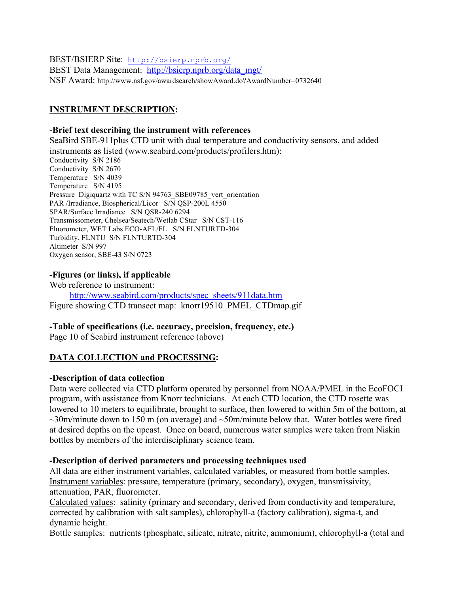BEST/BSIERP Site: http://bsierp.nprb.org/

BEST Data Management: http://bsierp.nprb.org/data\_mgt/ NSF Award: http://www.nsf.gov/awardsearch/showAward.do?AwardNumber=0732640

# **INSTRUMENT DESCRIPTION:**

#### **-Brief text describing the instrument with references**

SeaBird SBE-911plus CTD unit with dual temperature and conductivity sensors, and added instruments as listed (www.seabird.com/products/profilers.htm): Conductivity S/N 2186 Conductivity S/N 2670 Temperature S/N 4039 Temperature S/N 4195 Pressure Digiquartz with TC S/N 94763 SBE09785 vert orientation PAR /Irradiance, Biospherical/Licor S/N QSP-200L 4550 SPAR/Surface Irradiance S/N QSR-240 6294 Transmissometer, Chelsea/Seatech/Wetlab CStar S/N CST-116 Fluorometer, WET Labs ECO-AFL/FL S/N FLNTURTD-304 Turbidity, FLNTU S/N FLNTURTD-304 Altimeter S/N 997 Oxygen sensor, SBE-43 S/N 0723

## **-Figures (or links), if applicable**

Web reference to instrument:

 http://www.seabird.com/products/spec\_sheets/911data.htm Figure showing CTD transect map: knorr19510 PMEL CTDmap.gif

## **-Table of specifications (i.e. accuracy, precision, frequency, etc.)**

Page 10 of Seabird instrument reference (above)

## **DATA COLLECTION and PROCESSING:**

## **-Description of data collection**

Data were collected via CTD platform operated by personnel from NOAA/PMEL in the EcoFOCI program, with assistance from Knorr technicians. At each CTD location, the CTD rosette was lowered to 10 meters to equilibrate, brought to surface, then lowered to within 5m of the bottom, at  $\sim$ 30m/minute down to 150 m (on average) and  $\sim$ 50m/minute below that. Water bottles were fired at desired depths on the upcast. Once on board, numerous water samples were taken from Niskin bottles by members of the interdisciplinary science team.

## **-Description of derived parameters and processing techniques used**

All data are either instrument variables, calculated variables, or measured from bottle samples. Instrument variables: pressure, temperature (primary, secondary), oxygen, transmissivity, attenuation, PAR, fluorometer.

Calculated values: salinity (primary and secondary, derived from conductivity and temperature, corrected by calibration with salt samples), chlorophyll-a (factory calibration), sigma-t, and dynamic height.

Bottle samples: nutrients (phosphate, silicate, nitrate, nitrite, ammonium), chlorophyll-a (total and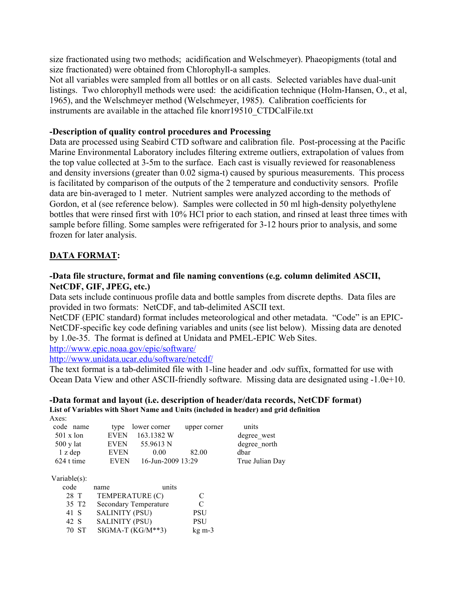size fractionated using two methods; acidification and Welschmeyer). Phaeopigments (total and size fractionated) were obtained from Chlorophyll-a samples.

Not all variables were sampled from all bottles or on all casts. Selected variables have dual-unit listings. Two chlorophyll methods were used: the acidification technique (Holm-Hansen, O., et al, 1965), and the Welschmeyer method (Welschmeyer, 1985). Calibration coefficients for instruments are available in the attached file knorr19510\_CTDCalFile.txt

#### **-Description of quality control procedures and Processing**

Data are processed using Seabird CTD software and calibration file. Post-processing at the Pacific Marine Environmental Laboratory includes filtering extreme outliers, extrapolation of values from the top value collected at 3-5m to the surface. Each cast is visually reviewed for reasonableness and density inversions (greater than 0.02 sigma-t) caused by spurious measurements. This process is facilitated by comparison of the outputs of the 2 temperature and conductivity sensors. Profile data are bin-averaged to 1 meter. Nutrient samples were analyzed according to the methods of Gordon, et al (see reference below). Samples were collected in 50 ml high-density polyethylene bottles that were rinsed first with 10% HCl prior to each station, and rinsed at least three times with sample before filling. Some samples were refrigerated for 3-12 hours prior to analysis, and some frozen for later analysis.

# **DATA FORMAT:**

# **-Data file structure, format and file naming conventions (e.g. column delimited ASCII, NetCDF, GIF, JPEG, etc.)**

Data sets include continuous profile data and bottle samples from discrete depths. Data files are provided in two formats: NetCDF, and tab-delimited ASCII text.

NetCDF (EPIC standard) format includes meteorological and other metadata. "Code" is an EPIC-NetCDF-specific key code defining variables and units (see list below). Missing data are denoted by 1.0e-35. The format is defined at Unidata and PMEL-EPIC Web Sites.

http://www.epic.noaa.gov/epic/software/

http://www.unidata.ucar.edu/software/netcdf/

The text format is a tab-delimited file with 1-line header and .odv suffix, formatted for use with Ocean Data View and other ASCII-friendly software. Missing data are designated using -1.0e+10.

#### **-Data format and layout (i.e. description of header/data records, NetCDF format) List of Variables with Short Name and Units (included in header) and grid definition** Axes:

| code name           |             | type lower corner | upper corner | units           |
|---------------------|-------------|-------------------|--------------|-----------------|
| $501 \times$ lon    | <b>EVEN</b> | 163.1382 W        |              | degree west     |
| $500 \text{ y}$ lat | <b>EVEN</b> | 55.9613 N         |              | degree north    |
| $1$ z dep           | <b>EVEN</b> | 0.00              | 82.00        | dhar            |
| 624 t time          | <b>EVEN</b> | 16-Jun-2009 13:29 |              | True Julian Day |
|                     |             |                   |              |                 |

Variable(s):

| code              | name                  | units                        |            |
|-------------------|-----------------------|------------------------------|------------|
| 28 T              |                       | TEMPERATURE (C)              | €          |
| 35 T <sub>2</sub> |                       | <b>Secondary Temperature</b> | €          |
| 41 S              | <b>SALINITY (PSU)</b> |                              | <b>PSU</b> |
| 42 S              | <b>SALINITY (PSU)</b> |                              | <b>PSU</b> |
| 70. ST            |                       | $SIGMA-T (KG/M**3)$          | $kg m-3$   |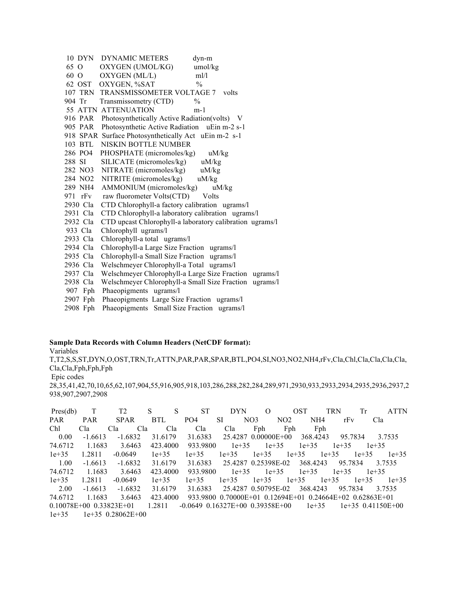10 DYN DYNAMIC METERS dyn-m 65 O OXYGEN (UMOL/KG) umol/kg 60 O OXYGEN (ML/L) ml/l 62 OST OXYGEN, %SAT % 107 TRN TRANSMISSOMETER VOLTAGE 7 volts 904 Tr Transmissometry (CTD) % 55 ATTN ATTENUATION m-1 916 PAR Photosynthetically Active Radiation(volts) V 905 PAR Photosynthetic Active Radiation uEin m-2 s-1 918 SPAR Surface Photosynthetically Act uEin m-2 s-1 103 BTL NISKIN BOTTLE NUMBER 286 PO4 PHOSPHATE (micromoles/kg) uM/kg 288 SI SILICATE (micromoles/kg) uM/kg 282 NO3 NITRATE (micromoles/kg) uM/kg 284 NO2 NITRITE (micromoles/kg) uM/kg 289 NH4 AMMONIUM (micromoles/kg) uM/kg 971 rFv raw fluorometer Volts(CTD) Volts 2930 Cla CTD Chlorophyll-a factory calibration ugrams/l 2931 Cla CTD Chlorophyll-a laboratory calibration ugrams/l 2932 Cla CTD upcast Chlorophyll-a laboratory calibration ugrams/l 933 Cla Chlorophyll ugrams/l 2933 Cla Chlorophyll-a total ugrams/l 2934 Cla Chlorophyll-a Large Size Fraction ugrams/l 2935 Cla Chlorophyll-a Small Size Fraction ugrams/l 2936 Cla Welschmeyer Chlorophyll-a Total ugrams/l 2937 Cla Welschmeyer Chlorophyll-a Large Size Fraction ugrams/l 2938 Cla Welschmeyer Chlorophyll-a Small Size Fraction ugrams/l 907 Fph Phaeopigments ugrams/l 2907 Fph Phaeopigments Large Size Fraction ugrams/l

2908 Fph Phaeopigments Small Size Fraction ugrams/l

#### **Sample Data Records with Column Headers (NetCDF format):**

Variables

T,T2,S,S,ST,DYN,O,OST,TRN,Tr,ATTN,PAR,PAR,SPAR,BTL,PO4,SI,NO3,NO2,NH4,rFv,Cla,Chl,Cla,Cla,Cla,Cla, Cla,Cla,Fph,Fph,Fph

Epic codes

28,35,41,42,70,10,65,62,107,904,55,916,905,918,103,286,288,282,284,289,971,2930,933,2933,2934,2935,2936,2937,2 938,907,2907,2908

| Pres(db)                        |            | T2                  | S<br>S   | <b>ST</b>                         | <b>DYN</b> | $\Omega$            | <b>OST</b> | <b>TRN</b>                                               | Tr                  | <b>ATTN</b> |
|---------------------------------|------------|---------------------|----------|-----------------------------------|------------|---------------------|------------|----------------------------------------------------------|---------------------|-------------|
| <b>PAR</b>                      | <b>PAR</b> | <b>SPAR</b>         | BTL      | PO <sub>4</sub>                   | <b>SI</b>  | NO <sub>3</sub>     | NO2        | NH <sub>4</sub><br>rFv                                   | Cla                 |             |
| Chl                             | Cla        | Cla<br>Cla          | Cla      | Cla                               | Cla        | Fph                 | Fph        | Fph                                                      |                     |             |
| 0.00                            | $-1.6613$  | $-1.6832$           | 31.6179  | 31.6383                           |            | 25.4287 0.00000E+00 |            | 368.4243                                                 | 95.7834             | 3.7535      |
| 74.6712                         | 1.1683     | 3.6463              | 423.4000 | 933.9800                          | $1e+35$    | $1e+35$             | $1e+35$    | $1e+35$                                                  | $1e+35$             |             |
| $1e+35$                         | 1.2811     | $-0.0649$           | $1e+35$  | $1e+35$                           | $1e+35$    | $1e+35$             | $1e+35$    | $1e+35$                                                  | $1e+35$             | $1e+35$     |
| 1.00                            | $-1.6613$  | $-1.6832$           | 31.6179  | 31.6383                           |            | 25.4287 0.25398E-02 |            | 368,4243<br>95.7834                                      |                     | 3 7 5 3 5   |
| 74.6712                         | 1.1683     | 3.6463              | 423,4000 | 933.9800                          | $1e+35$    | $1e+35$             | $1e+35$    | $1e+35$                                                  | $1e+35$             |             |
| $1e+35$                         | 1.2811     | $-0.0649$           | $1e+35$  | $1e+35$                           | $1e+35$    | $1e+35$             | $1e+35$    | $1e+35$                                                  | $1e+35$             | $1e+35$     |
| 2.00                            | $-1.6613$  | $-1.6832$           | 31 6179  | 31.6383                           |            | 25 4287 0 50795E-02 |            | 368.4243<br>95 7834                                      |                     | 3 7 5 3 5   |
| 74.6712                         | 1.1683     | 3.6463              | 423,4000 |                                   |            |                     |            | 933.9800 0.70000E+01 0.12694E+01 0.24664E+02 0.62863E+01 |                     |             |
| $0.10078E + 00$ $0.33823E + 01$ |            |                     | 1.2811   | $-0.0649$ 0.16327E+00 0.39358E+00 |            |                     |            | $1e+35$                                                  | $1e+35$ 0.41150E+00 |             |
| $1e+35$                         |            | $1e+35$ 0.28062E+00 |          |                                   |            |                     |            |                                                          |                     |             |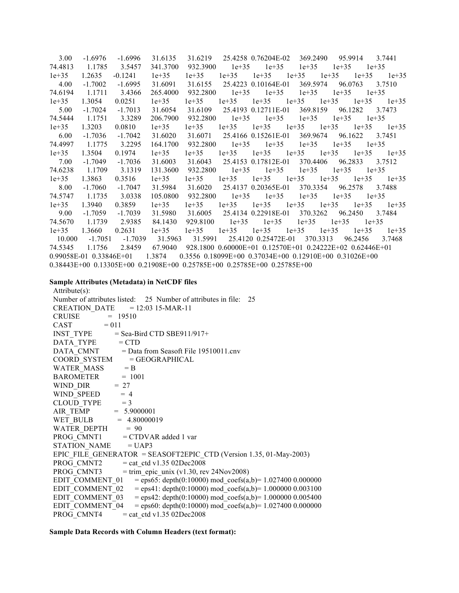| 3.00    | $-1.6976$                   | $-1.6996$ | 31.6135  | 31.6219   |                | 25.4258 0.76204E-02                                                                 | 369.2490                                                 | 95.9914              | 3.7441          |
|---------|-----------------------------|-----------|----------|-----------|----------------|-------------------------------------------------------------------------------------|----------------------------------------------------------|----------------------|-----------------|
| 74.4813 | 1.1785                      | 3.5457    | 341.3700 | 932.3900  | $1e+35$        | $1e+35$                                                                             | $1e+35$                                                  | $1e+35$              | $1e+35$         |
| $1e+35$ | 1.2635                      | $-0.1241$ | $1e+35$  | $1e + 35$ | $1e+35$        | $1e + 35$                                                                           | $1e+35$                                                  | $1e + 35$<br>$1e+35$ | $1e+35$         |
| 4.00    | $-1.7002$                   | $-1.6995$ | 31.6091  | 31.6155   |                | 25.4223 0.10164E-01                                                                 |                                                          | 369.5974 96.0763     | 3.7510          |
| 74.6194 | 1.1711                      | 3.4366    | 265.4000 | 932.2800  | $1e+35$        | $1e+35$                                                                             | $1e + 35$                                                | $1e+35$              | $1e+35$         |
| $1e+35$ | 1.3054                      | 0.0251    | $1e+35$  | $1e+35$   | $1e+35$        |                                                                                     | $1e+35$ $1e+35$ $1e+35$                                  | $1e + 35$            | $1e+35$         |
| 5.00    | $-1.7024$                   | $-1.7013$ | 31.6054  | 31.6109   |                | 25.4193 0.12711E-01                                                                 |                                                          | 369.8159 96.1282     | 3.7473          |
| 74.5444 | 1.1751                      | 3.3289    | 206.7900 | 932.2800  | $1e+35$        | $1e+35$                                                                             | $1e+35$                                                  | $1e+35$              | $1e+35$         |
| $1e+35$ | 1.3203                      | 0.0810    | $1e+35$  | $1e+35$   | $1e+35$        |                                                                                     | $1e+35$ $1e+35$ $1e+35$                                  | $1e+35$              | $1e+35$         |
| 6.00    | $-1.7036$                   | $-1.7042$ | 31.6020  | 31.6071   |                | 25.4166 0.15261E-01                                                                 |                                                          | 369.9674 96.1622     | 3.7451          |
| 74.4997 | 1.1775                      | 3.2295    | 164.1700 | 932.2800  | $1e+35$        | $1e+35$                                                                             | $1e+35$                                                  | $1e+35$              | $1e+35$         |
| $1e+35$ | 1.3504                      | 0.1974    | $1e+35$  | $1e+35$   | $1e+35$        |                                                                                     | $1e+35$ $1e+35$ $1e+35$                                  |                      | $1e+35$ $1e+35$ |
| 7.00    | $-1.7049$                   | $-1.7036$ | 31.6003  | 31.6043   |                | 25.4153 0.17812E-01                                                                 | 370.4406                                                 | 96.2833              | 3.7512          |
| 74.6238 | 1.1709                      | 3.1319    | 131.3600 | 932.2800  |                | $1e+35$ $1e+35$                                                                     | $1e+35$                                                  | $1e+35$              | $1e+35$         |
| $1e+35$ | 1.3863                      | 0.3516    | $1e+35$  | $1e+35$   | $1e+35$        |                                                                                     | $1e+35$ $1e+35$ $1e+35$                                  |                      | $1e+35$ $1e+35$ |
| 8.00    | $-1.7060$                   | $-1.7047$ | 31.5984  | 31.6020   |                |                                                                                     | 25.4137 0.20365E-01 370.3354 96.2578                     |                      | 3.7488          |
| 74.5747 | 1.1735                      | 3.0338    | 105.0800 |           | 932.2800 1e+35 | $1e + 35$                                                                           | $1e+35$                                                  | $1e+35$              | $1e+35$         |
| $1e+35$ | 1.3940                      | 0.3859    | $1e+35$  | $1e+35$   | $1e+35$        |                                                                                     | $1e+35$ $1e+35$ $1e+35$                                  |                      | $1e+35$ $1e+35$ |
| 9.00    | $-1.7059$                   | $-1.7039$ | 31.5980  | 31.6005   |                | 25.4134 0.22918E-01                                                                 | 370.3262                                                 | 96.2450              | 3.7484          |
| 74.5670 | 1.1739                      | 2.9385    | 84.1430  | 929.8100  | $1e+35$        | $1e+35$                                                                             | $1e+35$                                                  | $1e+35$              | $1e+35$         |
| $1e+35$ | 1.3660                      | 0.2631    | $1e+35$  | $1e+35$   | $1e+35$        | $1e+35$                                                                             | $1e+35$                                                  | $1e+35$<br>$1e+35$   | $1e+35$         |
| 10.000  | $-1.7051$                   | -1.7039   | 31.5963  | 31.5991   |                | 25.4120 0.25472E-01                                                                 | 370.3313                                                 | 96.2456              | 3.7468          |
| 74.5345 | 1.1756                      | 2.8459    | 67.9040  |           |                |                                                                                     | 928.1800 0.60000E+01 0.12570E+01 0.24222E+02 0.62446E+01 |                      |                 |
|         | $0.99058E-01$ $0.33846E+01$ |           | 1.3874   |           |                |                                                                                     | 0.3556 0.18099E+00 0.37034E+00 0.12910E+00 0.31026E+00   |                      |                 |
|         |                             |           |          |           |                | $0.38443E+00$ $0.13305E+00$ $0.21908E+00$ $0.25785E+00$ $0.25785E+00$ $0.25785E+00$ |                                                          |                      |                 |

# **Sample Attributes (Metadata) in NetCDF files**

| Attribute(s):                                                                                                                             |
|-------------------------------------------------------------------------------------------------------------------------------------------|
| Number of attributes listed: 25 Number of attributes in file: 25                                                                          |
| $CREATION_DATE = 12:03 15-MAR-11$                                                                                                         |
| CRUISE $= 19510$                                                                                                                          |
| $CAST = 011$                                                                                                                              |
| $INST_TYPE$ = Sea-Bird CTD SBE911/917+                                                                                                    |
| $DATA_TYPE = CTD$                                                                                                                         |
| DATA_CMNT = Data from Seasoft File 19510011.cnv                                                                                           |
|                                                                                                                                           |
| $\begin{tabular}{ll} \multicolumn{2}{l}{{\bf COORD\_SYSTEM}} & = GEOGRAPHICAL \\ \multicolumn{2}{l}{\bf WATER\_MASS} & = B \end{tabular}$ |
| $BAROMETER = 1001$                                                                                                                        |
| $WIND_DIR = 27$                                                                                                                           |
| $WIND\_SPEED$ = 4                                                                                                                         |
| CLOUD_TYPE = $3$<br>AIR_TEMP = $5.9000001$                                                                                                |
|                                                                                                                                           |
| WET BULB $= 4.80000019$                                                                                                                   |
| WATER_DEPTH $= 90$                                                                                                                        |
| PROG CMNT1 = CTDVAR added 1 var                                                                                                           |
| STATION NAME = UAP3                                                                                                                       |
| EPIC FILE GENERATOR = SEASOFT2EPIC CTD (Version 1.35, 01-May-2003)                                                                        |
| PROG CMNT2 $=$ cat ctd v1.35 02Dec2008                                                                                                    |
| PROG CMNT3<br>$=$ trim epic unix (v1.30, rev 24Nov2008)                                                                                   |
| EDIT COMMENT 01<br>$=$ eps65: depth(0:10000) mod coefs(a,b)= 1.027400 0.000000                                                            |
| EDIT_COMMENT_02 = eps41: depth(0:10000) mod_coefs(a,b)= 1.000000 0.003100                                                                 |
| EDIT COMMENT 03 = eps42: depth $(0:10000)$ mod_coefs $(a,b)$ = 1.000000 0.005400                                                          |
| EDIT COMMENT 04 = eps60: depth $(0:10000)$ mod coefs $(a,b)$ = 1.027400 0.000000                                                          |
| PROG CMNT4<br>$=$ cat ctd v1.35 02Dec2008                                                                                                 |

# **Sample Data Records with Column Headers (text format):**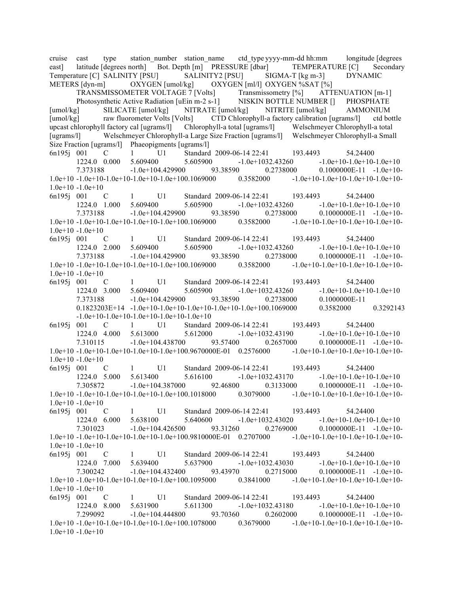cruise cast type station number station name ctd type yyyy-mm-dd hh:mm longitude [degrees east] latitude [degrees north] Bot. Depth [m] PRESSURE [dbar] TEMPERATURE [C] Secondary Temperature [C] SALINITY [PSU] SALINITY2 [PSU] SIGMA-T [kg m-3] DYNAMIC METERS [dyn-m] OXYGEN [umol/kg] OXYGEN [ml/l] OXYGEN %SAT [%]

TRANSMISSOMETER VOLTAGE 7 [Volts] Transmissometry [%] ATTENUATION [m-1]<br>Photosynthetic Active Radiation [uEin m-2 s-1] NISKIN BOTTLE NUMBER [] PHOSPHATE Photosynthetic Active Radiation [uEin m-2 s-1] NISKIN BOTTLE NUMBER [] PHOSPHATE [umol/kg] SILICATE [umol/kg] NITRATE [umol/kg] NITRITE [umol/kg] AMMONIUM [umol/kg] raw fluorometer Volts [Volts] CTD Chlorophyll-a factory calibration [ugrams/] ctd bottle upcast chlorophyll factory cal [ugrams/l] Chlorophyll-a total [ugrams/l] Welschmeyer Chlorophyll-a total [ugrams/l] Welschmeyer Chlorophyll-a Large Size Fraction [ugrams/l] Welschmeyer Chlorophyll-a Small [ugrams/l] Welschmeyer Chlorophyll-a Large Size Fraction [ugrams/l] Size Fraction [ugrams/l] Phaeopigments [ugrams/l] 6n195j 001 C 1 U1 Standard 2009-06-14 22:41 193.4493 54.24400 1224.0 0.000 5.609400 5.605900 -1.0e+1032.43260 -1.0e+10-1.0e+10-1.0e+10 7.373188 -1.0e+104.429900 93.38590 0.2738000 0.1000000E-11 -1.0e+10- 1.0e+10 -1.0e+10-1.0e+10-1.0e+10-1.0e+100.1069000 0.3582000 -1.0e+10-1.0e+10-1.0e+10-1.0e+10-  $1.0e+10 - 1.0e+10$ 6n195j 001 C 1 U1 Standard 2009-06-14 22:41 193.4493 54.24400 1224.0 1.000 5.609400 5.605900 -1.0e+1032.43260 -1.0e+10-1.0e+10-1.0e+10 7.373188 -1.0e+104.429900 93.38590 0.2738000 0.1000000E-11 -1.0e+10- 1.0e+10 -1.0e+10-1.0e+10-1.0e+10-1.0e+100.1069000 0.3582000 -1.0e+10-1.0e+10-1.0e+10-1.0e+10- 1.0e+10 -1.0e+10 6n195j 001 C 1 U1 Standard 2009-06-14 22:41 193.4493 54.24400 1224.0 2.000 5.609400 5.605900 -1.0e+1032.43260 -1.0e+10-1.0e+10-1.0e+10 7.373188 -1.0e+104.429900 93.38590 0.2738000 0.1000000E-11 -1.0e+10-  $1.0e+10 - 1.0e+10 - 1.0e+10 - 1.0e+10 - 1.0e+100.1069000$   $0.3582000$   $-1.0e+10 - 1.0e+10 - 1.0e+10 - 1.0e+10 - 1.0e+10$ 1.0e+10 -1.0e+10 6n195j 001 C 1 U1 Standard 2009-06-14 22:41 193.4493 54.24400 1224.0 3.000 5.609400 5.605900 -1.0e+1032.43260 -1.0e+10-1.0e+10-1.0e+10 7.373188 -1.0e+104.429900 93.38590 0.2738000 0.1000000E-11 0.1823203E+14 -1.0e+10-1.0e+10-1.0e+10-1.0e+10-1.0e+100.1069000 0.3582000 0.3292143 -1.0e+10-1.0e+10-1.0e+10-1.0e+10-1.0e+10 6n195j 001 C 1 U1 Standard 2009-06-14 22:41 193.4493 54.24400 1224.0 4.000 5.613000 5.612000 -1.0e+1032.43190 -1.0e+10-1.0e+10-1.0e+10 7.310115 -1.0e+104.438700 93.57400 0.2657000 0.1000000E-11 -1.0e+10- 1.0e+10 -1.0e+10-1.0e+10-1.0e+10-1.0e+100.9670000E-01 0.2576000 -1.0e+10-1.0e+10-1.0e+10-1.0e+10- 1.0e+10 -1.0e+10 6n195j 001 C 1 U1 Standard 2009-06-14 22:41 193.4493 54.24400 1224.0 5.000 5.613400 5.616100 -1.0e+1032.43170 -1.0e+10-1.0e+10-1.0e+10 7.305872 -1.0e+104.387000 92.46800 0.3133000 0.1000000E-11 -1.0e+10- 1.0e+10 -1.0e+10-1.0e+10-1.0e+10-1.0e+100.1018000 0.3079000 -1.0e+10-1.0e+10-1.0e+10-1.0e+10- 1.0e+10 -1.0e+10 6n195j 001 C 1 U1 Standard 2009-06-14 22:41 193.4493 54.24400 1224.0 6.000 5.638100 5.640600 -1.0e+1032.43020 -1.0e+10-1.0e+10-1.0e+10 7.301023 -1.0e+104.426500 93.31260 0.2769000 0.1000000E-11 -1.0e+10- 1.0e+10 -1.0e+10-1.0e+10-1.0e+10-1.0e+100.9810000E-01 0.2707000 -1.0e+10-1.0e+10-1.0e+10-1.0e+10- 1.0e+10 -1.0e+10 6n195j 001 C 1 U1 Standard 2009-06-14 22:41 193.4493 54.24400 1224.0 7.000 5.639400 5.637900 -1.0e+1032.43030 -1.0e+10-1.0e+10-1.0e+10 7.300242 -1.0e+104.432400 93.43970 0.2715000 0.1000000E-11 -1.0e+10- 1.0e+10 -1.0e+10-1.0e+10-1.0e+10-1.0e+100.1095000 0.3841000 -1.0e+10-1.0e+10-1.0e+10-1.0e+10-

1.0e+10 -1.0e+10

6n195j 001 C 1 U1 Standard 2009-06-14 22:41 193.4493 54.24400 1224.0 8.000 5.631900 5.611300 -1.0e+1032.43180 -1.0e+10-1.0e+10-1.0e+10 7.299092 -1.0e+104.444800 93.70360 0.2602000 0.1000000E-11 -1.0e+10- 1.0e+10 -1.0e+10-1.0e+10-1.0e+10-1.0e+100.1078000 0.3679000 -1.0e+10-1.0e+10-1.0e+10-1.0e+10- 1.0e+10 -1.0e+10